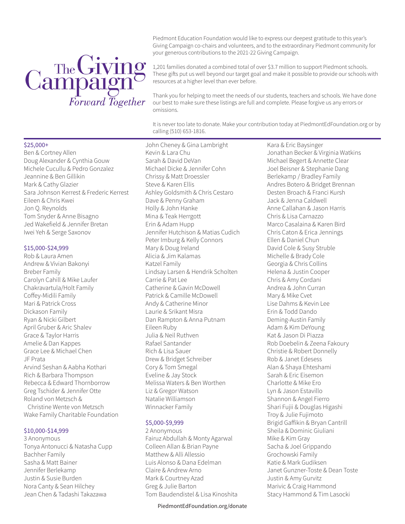# Campaign<sup>8</sup>

Piedmont Education Foundation would like to express our deepest gratitude to this year's Giving Campaign co-chairs and volunteers, and to the extraordinary Piedmont community for your generous contributions to the 2021-22 Giving Campaign.

1,201 families donated a combined total of over \$3.7 million to support Piedmont schools. These gifts put us well beyond our target goal and make it possible to provide our schools with resources at a higher level than ever before.

Thank you for helping to meet the needs of our students, teachers and schools. We have done our best to make sure these listings are full and complete. Please forgive us any errors or omissions.

It is never too late to donate. Make your contribution today at PiedmontEdFoundation.org or by calling (510) 653-1816.

# \$25,000+

Ben & Cortney Allen Doug Alexander & Cynthia Gouw Michele Cucullu & Pedro Gonzalez Jeannine & Ben Gillikin Mark & Cathy Glazier Sara Johnson Kerrest & Frederic Kerrest Eileen & Chris Kwei Jon Q. Reynolds Tom Snyder & Anne Bisagno Jed Wakefield & Jennifer Bretan Iwei Yeh & Serge Saxonov

# \$15,000-\$24,999

Rob & Laura Amen Andrew & Vivian Bakonyi Breber Family Carolyn Cahill & Mike Laufer Chakravartula/Holt Family Coffey-Midili Family Mari & Patrick Cross Dickason Family Ryan & Nicki Gilbert April Gruber & Aric Shalev Grace & Taylor Harris Amelie & Dan Kappes Grace Lee & Michael Chen JF Prata Arvind Seshan & Aabha Kothari Rich & Barbara Thompson Rebecca & Edward Thornborrow Greg Tschider & Jennifer Otte Roland von Metzsch & Christine Wente von Metzsch Wake Family Charitable Foundation

# \$10,000-\$14,999

3 Anonymous Tonya Antonucci & Natasha Cupp Bachher Family Sasha & Matt Bainer Jennifer Berlekamp Justin & Susie Burden Nora Canty & Sean Hilchey Jean Chen & Tadashi Takazawa

John Cheney & Gina Lambright Kevin & Lara Chu Sarah & David DeVan Michael Dicke & Jennifer Cohn Chrissy & Matt Droessler Steve & Karen Ellis Ashley Goldsmith & Chris Cestaro Dave & Penny Graham Holly & John Hanke Mina & Teak Herrgott Erin & Adam Hupp Jennifer Hutchison & Matias Cudich Peter Imburg & Kelly Connors Mary & Doug Ireland Alicia & Jim Kalamas Katzel Family Lindsay Larsen & Hendrik Scholten Carrie & Pat Lee Catherine & Gavin McDowell Patrick & Camille McDowell Andy & Catherine Minor Laurie & Srikant Misra Dan Rampton & Anna Putnam Eileen Ruby Julia & Neil Ruthven Rafael Santander Rich & Lisa Sauer Drew & Bridget Schreiber Cory & Tom Smegal Eveline & Jay Stock Melissa Waters & Ben Worthen Liz & Gregor Watson Natalie Williamson Winnacker Family

# \$5,000-\$9,999

2 Anonymous Fairuz Abdullah & Monty Agarwal Colleen Allan & Brian Payne Matthew & Alli Allessio Luis Alonso & Dana Edelman Claire & Andrew Arno Mark & Courtney Azad Greg & Julie Barton Tom Baudendistel & Lisa Kinoshita

PiedmontEdFoundation.org/donate

Kara & Eric Baysinger Jonathan Becker & Virginia Watkins Michael Begert & Annette Clear Joel Beisner & Stephanie Dang Berlekamp / Bradley Family Andres Botero & Bridget Brennan Desten Broach & Franci Kursh Jack & Jenna Caldwell Anne Callahan & Jason Harris Chris & Lisa Carnazzo Marco Casalaina & Karen Bird Chris Caton & Erica Jennings Ellen & Daniel Chun David Cole & Susy Struble Michelle & Brady Cole Georgia & Chris Collins Helena & Justin Cooper Chris & Amy Cordani Andrea & John Curran Mary & Mike Cvet Lise Dahms & Kevin Lee Erin & Todd Dando Deming-Austin Family Adam & Kim DeYoung Kat & Jason Di Piazza Rob Doebelin & Zeena Fakoury Christie & Robert Donnelly Rob & Janet Edesess Alan & Shaya Ehteshami Sarah & Eric Eisemon Charlotte & Mike Ero Lyn & Jason Estavillo Shannon & Angel Fierro Shari Fujii & Douglas Higashi Troy & Julie Fujimoto Brigid Gaffikin & Bryan Cantrill Sheila & Dominic Giuliani Mike & Kim Gray Sacha & Joel Grippando Grochowski Family Katie & Mark Gudiksen Janet Gunzner-Toste & Dean Toste Justin & Amy Gurvitz Marivic & Craig Hammond Stacy Hammond & Tim Lasocki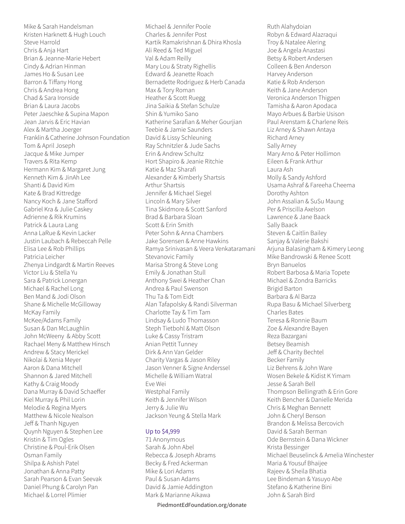Mike & Sarah Handelsman Kristen Harknett & Hugh Louch Steve Harrold Chris & Anja Hart Brian & Jeanne-Marie Hebert Cindy & Adrian Hinman James Ho & Susan Lee Barron & Tiffany Hong Chris & Andrea Hong Chad & Sara Ironside Brian & Laura Jacobs Peter Jaeschke & Supina Mapon Jean Jarvis & Eric Havian Alex & Martha Joerger Franklin & Catherine Johnson Foundation Tom & April Joseph Jacque & Mike Jumper Travers & Rita Kemp Hermann Kim & Margaret Jung Kenneth Kim & JinAh Lee Shanti & David Kim Kate & Brad Kittredge Nancy Koch & Jane Stafford Gabriel Kra & Julie Caskey Adrienne & Rik Krumins Patrick & Laura Lang Anna LaRue & Kevin Lacker Justin Laubach & Rebeccah Pelle Elisa Lee & Rob Phillips Patricia Leicher Zhenya Lindgardt & Martin Reeves Victor Liu & Stella Yu Sara & Patrick Lonergan Michael & Rachel Long Ben Mand & Jodi Olson Shane & Michelle McGilloway McKay Family McKee/Adams Family Susan & Dan McLaughlin John McWeeny & Abby Scott Rachael Meny & Matthew Hinsch Andrew & Stacy Merickel Nikolai & Xenia Meyer Aaron & Dana Mitchell Shannon & Jared Mitchell Kathy & Craig Moody Dana Murray & David Schaeffer Kiel Murray & Phil Lorin Melodie & Regina Myers Matthew & Nicole Nealson Jeff & Thanh Nguyen Quynh Nguyen & Stephen Lee Kristin & Tim Ogles Christine & Poul-Erik Olsen Osman Family Shilpa & Ashish Patel Jonathan & Anna Patty Sarah Pearson & Evan Seevak Daniel Phung & Carolyn Pan Michael & Lorrel Plimier

Michael & Jennifer Poole Charles & Jennifer Post Kartik Ramakrishnan & Dhira Khosla Ali Reed & Ted Miguel Val & Adam Reilly Mary Lou & Straty Righellis Edward & Jeanette Roach Bernadette Rodriguez & Herb Canada Max & Tory Roman Heather & Scott Ruegg Jina Saikia & Stefan Schulze Shin & Yumiko Sano Katherine Sarafian & Meher Gourjian Teebie & Jamie Saunders David & Lissy Schleuning Ray Schnitzler & Jude Sachs Erin & Andrew Schultz Hort Shapiro & Jeanie Ritchie Katie & Maz Sharafi Alexander & Kimberly Shartsis Arthur Shartsis Jennifer & Michael Siegel Lincoln & Mary Silver Tina Skidmore & Scott Sanford Brad & Barbara Sloan Scott & Erin Smith Peter Sohn & Anna Chambers Jake Sorensen & Anne Hawkins Ramya Srinivasan & Veera Venkataramani Stevanovic Family Marisa Strong & Steve Long Emily & Jonathan Stull Anthony Swei & Heather Chan Andrea & Paul Swenson Thu Ta & Tom Eidt Alan Tafapolsky & Randi Silverman Charlotte Tay & Tim Tam Lindsay & Ludo Thomasson Steph Tietbohl & Matt Olson Luke & Cassy Tristram Anian Pettit Tunney Dirk & Ann Van Gelder Charity Vargas & Jason Riley Jason Venner & Signe Anderssel Michelle & William Watral Eve Wei Westphal Family Keith & Jennifer Wilson Jerry & Julie Wu Jackson Yeung & Stella Mark

### Up to \$4,999

71 Anonymous Sarah & John Abel Rebecca & Joseph Abrams Becky & Fred Ackerman Mike & Lori Adams Paul & Susan Adams David & Jamie Addington Mark & Marianne Aikawa

PiedmontEdFoundation.org/donate

Ruth Alahydoian Robyn & Edward Alazraqui Troy & Natalee Alering Joe & Angela Anastasi Betsy & Robert Andersen Colleen & Ben Anderson Harvey Anderson Katie & Rob Anderson Keith & Jane Anderson Veronica Anderson Thigpen Tamisha & Aaron Apodaca Mayo Arbues & Barbie Usison Paul Arenstam & Charlene Reis Liz Arney & Shawn Antaya Richard Arney Sally Arney Mary Arno & Peter Hollimon Eileen & Frank Arthur Laura Ash Molly & Sandy Ashford Usama Ashraf & Fareeha Cheema Dorothy Ashton John Assalian & SuSu Maung Per & Priscilla Axelson Lawrence & Jane Baack Sally Baack Steven & Caitlin Bailey Sanjay & Valerie Bakshi Arjuna Balasingham & Kimery Leong Mike Bandrowski & Renee Scott Bryn Banuelos Robert Barbosa & Maria Topete Michael & Zondra Barricks Brigid Barton Barbara & Al Barza Rupa Basu & Michael Silverberg Charles Bates Teresa & Ronnie Baum Zoe & Alexandre Bayen Reza Bazargani Betsey Beamish Jeff & Charity Bechtel Becker Family Liz Behrens & John Ware Wosen Bekele & Kidist K Yimam Jesse & Sarah Bell Thompson Bellingrath & Erin Gore Keith Bencher & Danielle Merida Chris & Meghan Bennett John & Cheryl Benson Brandon & Melissa Bercovich David & Sarah Berman Ode Bernstein & Dana Wickner Krista Bessinger Michael Beuselinck & Amelia Winchester Maria & Yousuf Bhaijee Rajeev & Sheila Bhatia Lee Bindeman & Yasuyo Abe Stefano & Katherine Bini John & Sarah Bird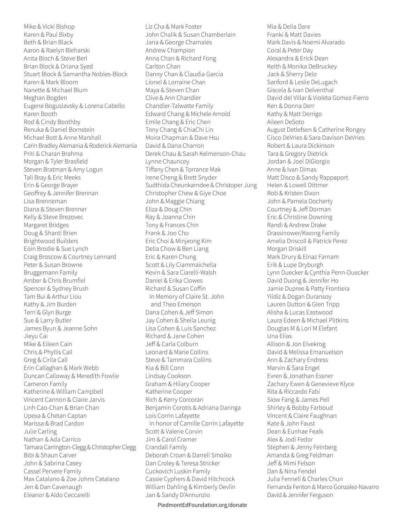Mike & Vicki Bishop Karen & Paul Bixby Beth & Brian Black Aaron & Raelyn Bleharski Anita Bloch & Steve Berl Brian Block & Oriana Syed Stuart Block & Samantha Nobles-Block Karen & Mark Bloom Nanette & Michael Blum Meghan Bogden Eugene Boguslavsky & Lorena Cabello Karen Booth Rod & Cindy Boothby Renuka & Daniel Bornstein Michael Bott & Anne Marshall Carin Bradley Alemania & Roderick Alemania Priti & Charan Brahma Morgan & Tyler Brasfield Steven Bratman & Amy Logun Tali Bray & Eric Meeks Erin & George Brayer Geoffrey & Jennifer Brennan Lisa Brenneman Diana & Steven Brenner Kelly & Steve Brezovec Margaret Bridges Doug & Shanti Brien Brightwood Builders Eoin Brodie & Sue Lynch Craig Broscow & Courtney Lennard Peter & Susan Browne Bruggemann Family Amber & Chris Brumfiel Spencer & Sydney Brush Tam Bui & Arthur Liou Kathy & Jim Burden Terri & Glyn Burge Sue & Larry Butler James Byun & Jeanne Sohn Jieyu Cai Mike & Eileen Cain Chris & Phyllis Call Greg & Cirila Call Erin Callaghan & Mark Webb Duncan Calloway & Meredith Fowlie Cameron Family Katherine & William Campbell Vincent Cannon & Claire Jarvis Linh Cao-Chan & Brian Chan Upexa & Chetan Captan Marissa & Brad Cardon Julie Carling Nathan & Ada Carrico Tamara Carrington-Clegg & Christopher Clegg Bibi & Shaun Carver John & Sabrina Casey Cassel Pervere Family Max Catalano & Zoe Johns Catalano Jen & Dan Cavenaugh Eleanor & Aldo Ceccarelli

Liz Cha & Mark Foster John Chalik & Susan Chamberlain Jana & George Chamales Andrew Champion Anna Chan & Richard Fong Carlton Chan Danny Chan & Claudia Garcia Lionel & Lorraine Chan Maya & Steven Chan Clive & Ann Chandler Chandler-Talwatte Family Edward Chang & Michele Arnold Emile Chang & Eric Chen Tony Chang & ChiaChi Lin Moira Chapman & Dave Hsu David & Dana Charron Derek Chau & Sarah Kelmenson-Chau Lynne Chauncey Tiffany Chen & Torrance Mak Irene Cheng & Brett Snyder Sudthida Cheunkarndee & Christoper Jung Christopher Chew & Giye Choe John & Maggie Chiang Eliza & Doug Chin Ray & Joanna Chin Tony & Frances Chin Frank & Joo Cho Eric Choi & Minjeong Kim Della Chow & Ben Liang Eric & Karen Chung Scott & Lily Ciammaichella Kevin & Sara Ciarelli-Walsh Daniel & Erika Clowes Richard & Susan Coffin In Memory of Claire St. John and Theo Emerson Dana Cohen & Jeff Simon Jay Cohen & Sheila Leunig Lisa Cohen & Luis Sanchez Richard & Jane Cohen Jeff & Carla Colburn Leonard & Marie Collins Steve & Tammara Collins Kia & Bill Conn Lindsay Cookson Graham & Hilary Cooper Katherine Cooper Rich & Kerry Corcoran Benjamin Corotis & Adriana Daringa Lois Corrin Lafayette In honor of Camille Corrin Lafayette Scott & Valerie Corvin Jim & Carol Cramer Crandall Family Deborah Croan & Darrell Smolko Dan Croley & Teresa Stricker Cuckovich Luskin Family Cassie Cyphers & David Hitchcock William Dahling & Kimberly Devlin Jan & Sandy D'Annunzio

PiedmontEdFoundation.org/donate

Mia & Delia Dare Franki & Matt Davies Mark Davis & Noemí Alvarado Coral & Peter Day Alexandra & Erick Dean Keith & Monika DeBruckey Jack & Sherry Delo Sanford & Leslie DeLugach Giscela & Ivan Delventhal David del Villar & Violeta Gomez-Fierro Ken & Donna Derr Kathy & Matt Derrigo Aileen DeSoto August Detlefsen & Catherine Rongey Cisco DeVries & Sara Davison DeVries Robert & Laura Dickinson Tara & Gregory Dietrick Jordan & Joel DiGiorgio Anne & Ivan Dimas Matt Disco & Sandy Rappaport Helen & Lowell Dittmer Rob & Kristen Dixon John & Pamela Docherty Courtney & Jeff Dorman Eric & Christine Downing Randi & Andrew Drake Drassinower/Kwong Family Amelia Driscoll & Patrick Perez Morgan Driskill Mark Drury & Elnaz Farnam Erik & Lupe Dryburgh Lynn Duecker & Cynthia Penn-Duecker David Duong & Jennifer Ho Jamie Dupree & Patty Frontiera Yildiz & Dogan Duransoy Lauren Dutton & Glen Tripp Alisha & Lucas Eastwood Laura Edeen & Michael Plitkins Douglas M & Lori M Elefant Una Elías Allison & Jon Elvekrog David & Melissa Emanuelson Ann & Zachary Endress Marvin & Sara Engel Evren & Jonathan Essner Zachary Ewen & Genevieve Klyce Rita & Riccardo Fabi Siow Fang & James Pell Shirley & Bobby Farboud Vincent & Claire Faughnan Kate & John Faust Dean & Eunhae Fealk Alex & Jodi Fedor Stephen & Jenny Feinberg Amanda & Greg Feldman Jeff & Mimi Felson Dan & Nina Fendel Julia Fennell & Charles Chun Fernanda Fenton & Marco Gonzalez-Navarro David & Jennifer Ferguson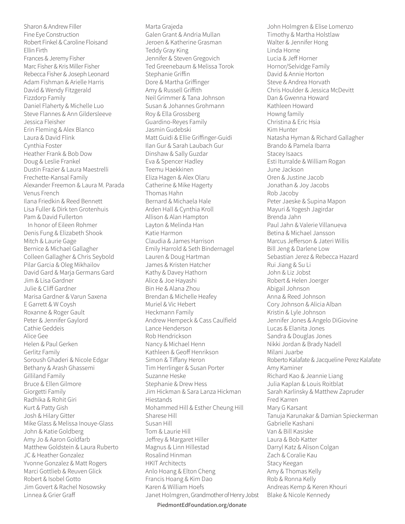Sharon & Andrew Filler Fine Eye Construction Robert Finkel & Caroline Floisand Ellin Firth Frances & Jeremy Fisher Marc Fisher & Kris Miller Fisher Rebecca Fisher & Joseph Leonard Adam Fishman & Arielle Harris David & Wendy Fitzgerald Fizzdorp Family Daniel Flaherty & Michelle Luo Steve Flannes & Ann Gildersleeve Jessica Fleisher Erin Fleming & Alex Blanco Laura & David Flink Cynthia Foster Heather Frank & Bob Dow Doug & Leslie Frankel Dustin Frazier & Laura Maestrelli Frechette-Kansal Family Alexander Freemon & Laura M. Parada Venus French Ilana Friedkin & Reed Bennett Lisa Fuller & Dirk ten Grotenhuis Pam & David Fullerton In honor of Eileen Rohmer Denis Fung & Elizabeth Shook Mitch & Laurie Gage Bernice & Michael Gallagher Colleen Gallagher & Chris Seybold Pilar Garcia & Oleg Mikhailov David Gard & Marja Germans Gard Jim & Lisa Gardner Julie & Cliff Gardner Marisa Gardner & Varun Saxena E Garrett & W Coysh Roxanne & Roger Gault Peter & Jennifer Gaylord Cathie Geddeis Alice Gee Helen & Paul Gerken Gerlitz Family Soroush Ghaderi & Nicole Edgar Bethany & Arash Ghassemi Gilliland Family Bruce & Ellen Gilmore Giorgetti Family Radhika & Rohit Giri Kurt & Patty Gish Josh & Hilary Gitter Mike Glass & Melissa Inouye-Glass John & Katie Goldberg Amy Jo & Aaron Goldfarb Matthew Goldstein & Laura Ruberto JC & Heather Gonzalez Yvonne Gonzalez & Matt Rogers Marci Gottlieb & Reuven Glick Robert & Isobel Gotto Jim Govert & Rachel Nosowsky Linnea & Grier Graff

Marta Grajeda Galen Grant & Andria Mullan Jeroen & Katherine Grasman Teddy Gray King Jennifer & Steven Gregovich Ted Greenebaum & Melissa Torok Stephanie Griffin Dore & Martha Griffinger Amy & Russell Griffith Neil Grimmer & Tana Johnson Susan & Johannes Grohmann Roy & Ella Grossberg Guardino-Reyes Family Jasmin Gudebski Matt Guidi & Ellie Griffinger-Guidi Ilan Gur & Sarah Laubach Gur Dinshaw & Sally Guzdar Eva & Spencer Hadley Teemu Haekkinen Eliza Hagen & Alex Olaru Catherine & Mike Hagerty Thomas Hahn Bernard & Michaela Hale Arden Hall & Cynthia Kroll Allison & Alan Hampton Layton & Melinda Han Katie Harmon Claudia & James Harrison Emily Harrold & Seth Bindernagel Lauren & Doug Hartman James & Kristen Hatcher Kathy & Davey Hathorn Alice & Joe Hayashi Bin He & Alana Zhou Brendan & Michelle Heafey Muriel & Vic Hebert Heckmann Family Andrew Hempeck & Cass Caulfield Lance Henderson Rob Hendrickson Nancy & Michael Henn Kathleen & Geoff Henrikson Simon & Tiffany Heron Tim Herrlinger & Susan Porter Suzanne Heske Stephanie & Drew Hess Jim Hickman & Sara Lanza Hickman Hiestands Mohammed Hill & Esther Cheung Hill Sharese Hill Susan Hill Tom & Laurie Hill Jeffrey & Margaret Hiller Magnus & Linn Hillestad Rosalind Hinman HKIT Architects Anlo Hoang & Elton Cheng Francis Hoang & Kim Dao Karen & William Hoefs Janet Holmgren, Grandmother of Henry Jobst John Holmgren & Elise Lomenzo Timothy & Martha Holstlaw Walter & Jennifer Hong Linda Horne Lucia & Jeff Horner Hornor/Selvidge Family David & Annie Horton Steve & Andrea Horvath Chris Houlder & Jessica McDevitt Dan & Gwenna Howard Kathleen Howard Howng family Christina & Eric Hsia Kim Hunter Natasha Hyman & Richard Gallagher Brando & Pamela Ibarra Stacey Isaacs Esti Iturralde & William Rogan June Jackson Oren & Justine Jacob Jonathan & Joy Jacobs Rob Jacoby Peter Jaeske & Supina Mapon Mayuri & Yogesh Jagirdar Brenda Jahn Paul Jahn & Valerie Villanueva Betina & Michael Jansson Marcus Jefferson & Jateri Willis Bill Jeng & Darlene Low Sebastian Jerez & Rebecca Hazard Rui Jiang & Su Li John & Liz Jobst Robert & Helen Joerger Abigail Johnson Anna & Reed Johnson Cory Johnson & Alicia Alban Kristin & Lyle Johnson Jennifer Jones & Angelo DiGiovine Lucas & Elanita Jones Sandra & Douglas Jones Nikki Jordan & Brady Nadell Milani Juarbe Roberto Kalafate & Jacqueline Perez Kalafate Amy Kaminer Richard Kao & Jeannie Liang Julia Kaplan & Louis Roitblat Sarah Karlinsky & Matthew Zapruder Fred Karren Mary G Karsant Tanuja Karunakar & Damian Spieckerman Gabrielle Kashani Van & Bill Kasiske Laura & Bob Katter Darryl Katz & Alison Colgan Zach & Coralie Kau Stacy Keegan Amy & Thomas Kelly Rob & Ronna Kelly Andreas Kemp & Keren Khouri Blake & Nicole Kennedy

PiedmontEdFoundation.org/donate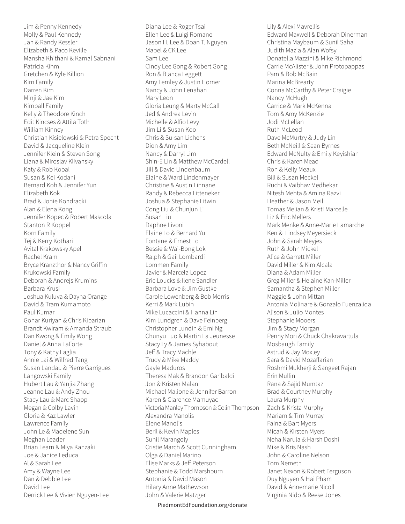Jim & Penny Kennedy Molly & Paul Kennedy Jan & Randy Kessler Elizabeth & Paco Keville Mansha Khithani & Kamal Sabnani Patricia Kihm Gretchen & Kyle Killion Kim Family Darren Kim Minji & Jae Kim Kimball Family Kelly & Theodore Kinch Edit Kincses & Attila Toth William Kinney Christian Kisielowski & Petra Specht David & Jacqueline Klein Jennifer Klein & Steven Song Liana & Miroslav Klivansky Katy & Rob Kobal Susan & Kei Kodani Bernard Koh & Jennifer Yun Elizabeth Kok Brad & Jonie Kondracki Alan & Elena Kong Jennifer Kopec & Robert Mascola Stanton R Koppel Korn Family Tej & Kerry Kothari Avital Krakowsky Apel Rachel Kram Bryce Kranzthor & Nancy Griffin Krukowski Family Deborah & Andrejs Krumins Barbara Krusi Joshua Kuluva & Dayna Orange David & Tram Kumamoto Paul Kumar Gohar Kuriyan & Chris Kibarian Brandt Kwiram & Amanda Straub Dan Kwong & Emily Wong Daniel & Anna LaForte Tony & Kathy Laglia Annie Lai & Wilfred Tang Susan Landau & Pierre Garrigues Langowski Family Hubert Lau & Yanjia Zhang Jeanne Lau & Andy Zhou Stacy Lau & Marc Shapp Megan & Colby Lavin Gloria & Kaz Lawler Lawrence Family John Le & Madelene Sun Meghan Leader Brian Learn & Miya Kanzaki Joe & Janice Leduca Al & Sarah Lee Amy & Wayne Lee Dan & Debbie Lee David Lee Derrick Lee & Vivien Nguyen-Lee

Diana Lee & Roger Tsai Ellen Lee & Luigi Romano Jason H. Lee & Doan T. Nguyen Mabel & CK Lee Sam Lee Cindy Lee Gong & Robert Gong Ron & Blanca Leggett Amy Lemley & Justin Horner Nancy & John Lenahan Mary Leon Gloria Leung & Marty McCall Jed & Andrea Levin Michelle & Alfio Levy Jim Li & Susan Koo Chris & Su-san Lichens Dion & Amy Lim Nancy & Darryl Lim Shin-E Lin & Matthew McCardell Jill & David Lindenbaum Elaine & Ward Lindenmayer Christine & Austin Linnane Randy & Rebecca Litteneker Joshua & Stephanie Litwin Cong Liu & Chunjun Li Susan Liu Daphne Livoni Elaine Lo & Bernard Yu Fontane & Ernest Lo Bessie & Wai-Bong Lok Ralph & Gail Lombardi Lommen Family Javier & Marcela Lopez Eric Loucks & Ilene Sandler Barbara Love & Jim Gustke Carole Lowenberg & Bob Morris Kerri & Mark Lubin Mike Lucaccini & Hanna Lin Kim Lundgren & Dave Feinberg Christopher Lundin & Erni Ng Chunyu Luo & Martin La Jeunesse Stacy Ly & James Syhabout Jeff & Tracy Machle Trudy & Mike Maddy Gayle Maduros Theresa Mak & Brandon Garibaldi Jon & Kristen Malan Michael Malione & Jennifer Barron Karen & Clarence Mamuyac Victoria Manley Thompson & Colin Thompson Alexandra Manolis Elene Manolis Beril & Kevin Maples Sunil Marangoly Cristie March & Scott Cunningham Olga & Daniel Marino Elise Marks & Jeff Peterson Stephanie & Todd Marshburn Antonia & David Mason Hilary Anne Mathewson John & Valerie Matzger

Lily & Alexi Mavrellis Edward Maxwell & Deborah Dinerman Christina Maybaum & Sunil Saha Judith Mazia & Alan Wofsy Donatella Mazzini & Mike Richmond Carrie McAlister & John Protopappas Pam & Bob McBain Marina McBrearty Conna McCarthy & Peter Craigie Nancy McHugh Carrice & Mark McKenna Tom & Amy McKenzie Jodi McLellan Ruth McLeod Dave McMurtry & Judy Lin Beth McNeill & Sean Byrnes Edward McNulty & Emily Keyishian Chris & Karen Mead Ron & Kelly Meaux Bill & Susan Meckel Ruchi & Vaibhav Medhekar Nitesh Mehta & Amina Razvi Heather & Jason Meil Tomas Melian & Kristi Marcelle Liz & Eric Mellers Mark Menke & Anne-Marie Lamarche Ken & Lindsey Meyersieck John & Sarah Meyjes Ruth & John Mickel Alice & Garrett Miller David Miller & Kim Alcala Diana & Adam Miller Greg Miller & Helaine Kan-Miller Samantha & Stephen Miller Maggie & John Mittan Antonia Molinare & Gonzalo Fuenzalida Alison & Julio Montes Stephanie Mooers Jim & Stacy Morgan Penny Mori & Chuck Chakravartula Mosbaugh Family Astrud & Jay Moxley Sara & David Mozaffarian Roshmi Mukherji & Sangeet Rajan Erin Mullin Rana & Sajid Mumtaz Brad & Courtney Murphy Laura Murphy Zach & Krista Murphy Mariam & Tim Murray Faina & Bart Myers Micah & Kirsten Myers Neha Narula & Harsh Doshi Mike & Kris Nash John & Caroline Nelson Tom Nemeth Janet Nexon & Robert Ferguson Duy Nguyen & Hai Pham David & Annemarie Nicoll Virginia Nido & Reese Jones

PiedmontEdFoundation.org/donate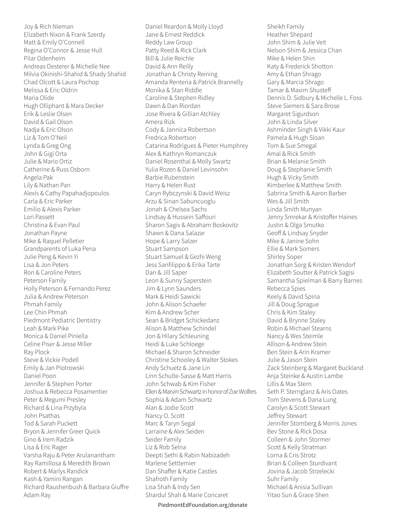Joy & Rich Nieman Elizabeth Nixon & Frank Szerdy Matt & Emily O'Connell Regina O'Connor & Jesse Hull Pilar Odenheim Andreas Oesterer & Michelle Nee Milvia Okinishi-Shahid & Shady Shahid Chad Olcott & Laura Pochop Melissa & Eric Oldrin Maria Olide Hugh Olliphant & Mara Decker Erik & Leslie Olsen David & Gail Olson Nadja & Eric Olson Liz & Tom O'Neil Lynda & Greg Ong John & Gigi Orta Julie & Mario Ortiz Catherine & Russ Osborn Angela Pak Lily & Nathan Pan Alexis & Cathy Papahadjopoulos Carla & Eric Parker Emilio & Alexis Parker Lori Passett Christina & Evan Paul Jonathan Payne Mike & Raquel Pelletier Grandparents of Luka Pena Julie Peng & Kevin Yi Lisa & Jon Peters Ron & Caroline Peters Peterson Family Holly Peterson & Fernando Perez Julia & Andrew Peterson Phmah Family Lee Chin Phmah Piedmont Pediatric Dentistry Leah & Mark Pike Monica & Daniel Piniella Celine Piser & Jesse Miller Ray Plock Steve & Vickie Podell Emily & Jan Piotrowski Daniel Poon Jennifer & Stephen Porter Joshua & Rebecca Posamentier Peter & Megumi Presley Richard & Lina Przybyla John Psathas Tod & Sarah Puckett Bryon & Jennifer Greer Quick Gino & Irem Radzik Lisa & Eric Rager Varsha Raju & Peter Arulanantham Ray Ramillosa & Meredith Brown Robert & Marlys Randick Kash & Yamini Rangan Richard Raushenbush & Barbara Giuffre Adam Ray

Daniel Reardon & Molly Lloyd Jane & Ernest Reddick Reddy Law Group Patty Reed & Rick Clark Bill & Julie Reichle David & Ann Reilly Jonathan & Christy Reining Amanda Renteria & Patrick Brannelly Monika & Stan Riddle Caroline & Stephen Ridley Dawn & Dan Riordan Jose Rivera & Gillian Atchley Amera Rizk Cody & Jannica Robertson Fredrica Robertson Catarina Rodrigues & Pieter Humphrey Alex & Kathryn Romanczuk Daniel Rosenthal & Molly Swartz Yulia Rozen & Daniel Levinsohn Barbie Rubenstein Harry & Helen Rust Caryn Rybczynski & David Weisz Arzu & Sinan Sabuncuoglu Jonah & Chelsea Sachs Lindsay & Hussein Saffouri Sharon Sagiv & Abraham Boskovitz Shawn & Dana Salazar Hope & Larry Salzer Stuart Sampson Stuart Samuel & Gezhi Weng Jess Sanfilippo & Erika Tarte Dan & Jill Saper Leon & Sunny Saperstein Jim & Lynn Saunders Mark & Heidi Sawicki John & Alison Schaefer Kim & Andrew Scher Sean & Bridget Schickedanz Alison & Matthew Schindel Jon & Hilary Schleuning Heidi & Luke Schloege Michael & Sharon Schneider Christine Schooley & Walter Stokes Andy Schuetz & Jane Lin Linn Schulte-Sasse & Matt Harris John Schwab & Kim Fisher Ellen & Marvin Schwartz in honor of Zoe Wolfers Sophia & Adam Schwartz Alan & Jodie Scott Nancy O. Scott Marc & Taryn Segal Larraine & Alex Seiden Seider Family Liz & Rob Selna Deepti Sethi & Rabin Nabizadeh Marlene Settlemier Dan Shaffer & Katie Castles Shafroth Family Lisa Shah & Indy Sen Shardul Shah & Marie Concaret

Sheikh Family Heather Shepard John Shim & Julie Veit Nelson Shim & Jessica Chan Mike & Helen Shin Katy & Frederick Shotton Amy & Ethan Shrago Gary & Marcia Shrago Tamar & Maxim Shusteff Dennis D. Sidbury & Michelle L. Foss Steve Siemers & Sara Brose Margaret Sigurdson John & Linda Silver Ashminder Singh & Vikki Kaur Pamela & Hugh Sloan Tom & Sue Smegal Amal & Rick Smith Brian & Melanie Smith Doug & Stephanie Smith Hugh & Vicky Smith Kimberlee & Matthew Smith Sabrina Smith & Aaron Barber Wes & Jill Smith Linda Smith Munyan Jenny Smrekar & Kristoffer Haines Justin & Olga Smutko Geoff & Lindsay Snyder Mike & Janine Sohn Ellie & Mark Somers Shirley Soper Jonathan Sorg & Kristen Wendorf Elizabeth Soutter & Patrick Sagisi Samantha Spielman & Barry Barnes Rebecca Spies Keely & David Spina Jill & Doug Sprague Chris & Kim Staley David & Brynne Staley Robin & Michael Stearns Nancy & Wes Steimle Allison & Andrew Stein Ben Stein & Arin Kramer Julie & Jason Stein Zack Steinberg & Margaret Buckland Anja Steinke & Austin Lambe Lillis & Max Stern Seth P. Sternglanz & Aris Oates Tom Stevens & Dana Lung Carolyn & Scott Stewart Jeffrey Stewart Jennifer Stomberg & Morris Jones Bev Stone & Rick Dosa Colleen & John Stormer Scott & Kelly Stratman Lorna & Cris Strotz Brian & Colleen Sturdivant Jovina & Jacob Strzelecki Suhr Family Michael & Anisia Sullivan Yitao Sun & Grace Shen

PiedmontEdFoundation.org/donate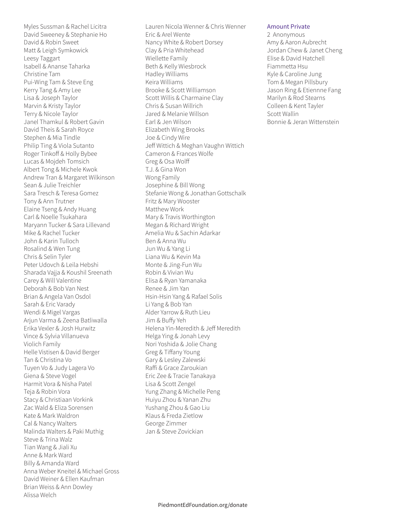Myles Sussman & Rachel Licitra David Sweeney & Stephanie Ho David & Robin Sweet Matt & Leigh Symkowick Leesy Taggart Isabell & Ananse Taharka Christine Tam Pui-Wing Tam & Steve Eng Kerry Tang & Amy Lee Lisa & Joseph Taylor Marvin & Kristy Taylor Terry & Nicole Taylor Janel Thamkul & Robert Gavin David Theis & Sarah Royce Stephen & Mia Tindle Philip Ting & Viola Sutanto Roger Tinkoff & Holly Bybee Lucas & Mojdeh Tomsich Albert Tong & Michele Kwok Andrew Tran & Margaret Wilkinson Sean & Julie Treichler Sara Tresch & Teresa Gomez Tony & Ann Trutner Elaine Tseng & Andy Huang Carl & Noelle Tsukahara Maryann Tucker & Sara Lillevand Mike & Rachel Tucker John & Karin Tulloch Rosalind & Wen Tung Chris & Selin Tyler Peter Udovch & Leila Hebshi Sharada Vajja & Koushil Sreenath Carey & Will Valentine Deborah & Bob Van Nest Brian & Angela Van Osdol Sarah & Eric Varady Wendi & Migel Vargas Arjun Varma & Zeena Batliwalla Erika Vexler & Josh Hurwitz Vince & Sylvia Villanueva Violich Family Helle Vistisen & David Berger Tan & Christina Vo Tuyen Vo & Judy Lagera Vo Giena & Steve Vogel Harmit Vora & Nisha Patel Teja & Robin Vora Stacy & Christiaan Vorkink Zac Wald & Eliza Sorensen Kate & Mark Waldron Cal & Nancy Walters Malinda Walters & Paki Muthig Steve & Trina Walz Tian Wang & Jiali Xu Anne & Mark Ward Billy & Amanda Ward Anna Weber Kneitel & Michael Gross David Weiner & Ellen Kaufman Brian Weiss & Ann Dowley Alissa Welch

Lauren Nicola Wenner & Chris Wenner Eric & Arel Wente Nancy White & Robert Dorsey Clay & Pria Whitehead Wiellette Family Beth & Kelly Wiesbrock Hadley Williams Keira Williams Brooke & Scott Williamson Scott Willis & Charmaine Clay Chris & Susan Willrich Jared & Melanie Willson Earl & Jen Wilson Elizabeth Wing Brooks Joe & Cindy Wire Jeff Wittich & Meghan Vaughn Wittich Cameron & Frances Wolfe Greg & Osa Wolff T.J. & Gina Won Wong Family Josephine & Bill Wong Stefanie Wong & Jonathan Gottschalk Fritz & Mary Wooster Matthew Work Mary & Travis Worthington Megan & Richard Wright Amelia Wu & Sachin Adarkar Ben & Anna Wu Jun Wu & Yang Li Liana Wu & Kevin Ma Monte & Jing-Fun Wu Robin & Vivian Wu Elisa & Ryan Yamanaka Renee & Jim Yan Hsin-Hsin Yang & Rafael Solis Li Yang & Bob Yan Alder Yarrow & Ruth Lieu Jim & Buffy Yeh Helena Yin-Meredith & Jeff Meredith Helga Ying & Jonah Levy Nori Yoshida & Jolie Chang Greg & Tiffany Young Gary & Lesley Zalewski Raffi & Grace Zaroukian Eric Zee & Tracie Tanakaya Lisa & Scott Zengel Yung Zhang & Michelle Peng Huiyu Zhou & Yanan Zhu Yushang Zhou & Gao Liu Klaus & Freda Zietlow George Zimmer Jan & Steve Zovickian

## Amount Private

2 Anonymous Amy & Aaron Aubrecht Jordan Chew & Janet Cheng Elise & David Hatchell Fiammetta Hsu Kyle & Caroline Jung Tom & Megan Pillsbury Jason Ring & Etiennne Fang Marilyn & Rod Stearns Colleen & Kent Tayler Scott Wallin Bonnie & Jeran Wittenstein